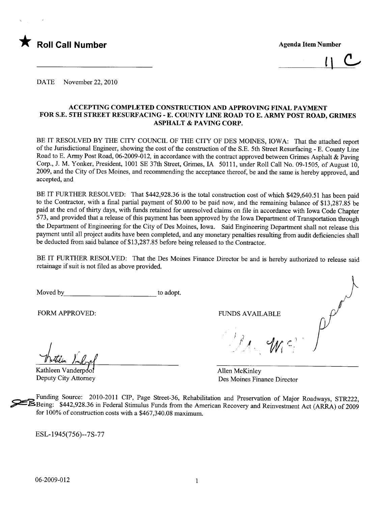

 $\mathfrak{c}$ 

DATE November 22, 2010

### ACCEPTING COMPLETED CONSTRUCTION AND APPROVING FINAL PAYMENT FOR S.E. 5TH STREET RESURFACING - E. COUNTY LINE ROAD TO E. ARMY POST ROAD, GRIMES ASPHALT & PAVING CORP.

BE IT RESOLVED BY THE CITY COUNCIL OF THE CITY OF DES MOINES, IOWA: That the attached report of the Jurisdictional Engineer, showing the cost of the construction of the S.E. 5th Street Resurfacing - E. County Line Road to E. Army Post Road, 06-2009-012, in accordance with the contract approved between Grimes Asphalt & Paving Corp., J. M. Yonker, President, 1001 SE 37th Street, Grimes, IA 50111, under Roll Call No. 09-1505, of August 10, 2009, and the City of Des Moines, and recommending the acceptance thereof, be and the same is hereby approved, and accepted, and

BE IT FURTHER RESOLVED: That \$442,928.36 is the total construction cost of which \$429,640.51 has been paid to the Contractor, with a final partial payment of \$0.00 to be paid now, and the remaining balance of \$13,287.85 be paid at the end of thirty days, with funds retained for unresolved claims on fie in accordance with Iowa Code Chapter 573, and provided that a release of this payment has been approved by the Iowa Deparment of Transportation through the Department of Engineering for the City of Des Moines, Iowa. Said Engineering Department shall not release this payment until all project audits have been completed, and any monetary penalties resulting from audit deficiencies shall be deducted from said balance of \$13,287.85 before being released to the Contractor.

BE IT FURTHER RESOLVED: That the Des Moines Finance Director be and is hereby authorized to release said retainage if suit is not fied as above provided.

Moved by to adopt. J

FORM APPROVED: FUNDS AVAILABLE

Kathleen Vrubrel<br>Kathleen Vanderpool

Deputy City Attorney

 $l$  'for  $c$ 

Allen McKinley Des Moines Finance Director

Funding Source: 2010-2011 CIP, Page Street-36, Rehabilitation and Preservation of Major Roadways, STR222, <br>Being: \$442,928.36 in Federal Stimulus Funds from the American Recovery and Reinvestment Act (ARRA) of 2009 for  $100\%$  of construction costs with a \$467,340.08 maximum.

ESL-1945(756)--7S-77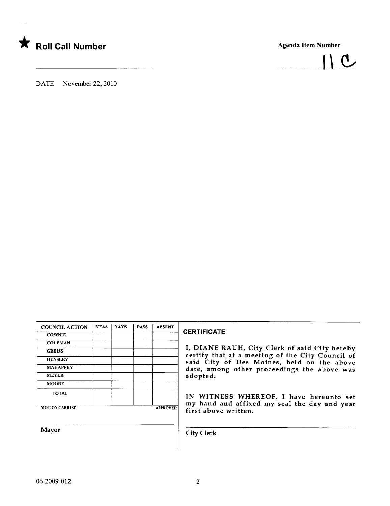



DATE November 22, 2010

| <b>COUNCIL ACTION</b> | <b>YEAS</b> | <b>NAYS</b> | <b>PASS</b> | <b>ABSENT</b>   |
|-----------------------|-------------|-------------|-------------|-----------------|
| <b>COWNIE</b>         |             |             |             |                 |
| <b>COLEMAN</b>        |             |             |             |                 |
| <b>GREISS</b>         |             |             |             |                 |
| <b>HENSLEY</b>        |             |             |             |                 |
| <b>MAHAFFEY</b>       |             |             |             |                 |
| <b>MEYER</b>          |             |             |             |                 |
| <b>MOORE</b>          |             |             |             |                 |
| <b>TOTAL</b>          |             |             |             |                 |
| <b>MOTION CARRIED</b> |             |             |             | <b>APPROVED</b> |
|                       |             |             |             |                 |

### **CERTIFICATE**

I, DIANE RAUH, City Clerk of said City hereby certify that at a meeting of the City Council of HENSLEY **STATE STATE STATE STATE STATE STATE STATE STATE STATE STATE STATE STATE STATE STATE STATE STATE STATE ST** date, among other proceedings the above was adopted.

> IN WITNESS WHEREOF, I have hereunto set my hand and affixed my seal the day and year first above written.

Mayor City Clerk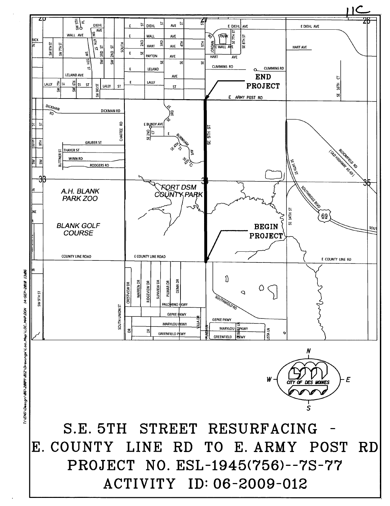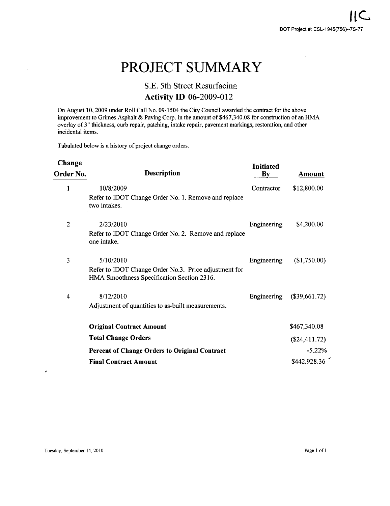# PROJECT SUMMARY

## S.E. 5th Street Resurfacing **Activity ID 06-2009-012**

On August 10,2009 under Roll Call No. 09-1504 the City Council awarded the contract for the above improvement to Grimes Asphalt & Paving Corp. in the amount of \$467,340.08 for construction of an HMA overlay of 3" thickness, curb repair, patching, intake repair, pavement markings, restoration, and other incidental items.

Tabulated below is a history of project change orders.

| <b>Description</b><br>Order No.                                                                     | $\mathbf{B}\mathbf{y}$ | Amount           |
|-----------------------------------------------------------------------------------------------------|------------------------|------------------|
| 10/8/2009                                                                                           | Contractor             | \$12,800.00      |
| Refer to IDOT Change Order No. 1. Remove and replace<br>two intakes.                                |                        |                  |
| 2/23/2010                                                                                           | Engineering            | \$4,200.00       |
| Refer to IDOT Change Order No. 2. Remove and replace<br>one intake.                                 |                        |                  |
| 5/10/2010                                                                                           | Engineering            | (\$1,750.00)     |
| Refer to IDOT Change Order No.3. Price adjustment for<br>HMA Smoothness Specification Section 2316. |                        |                  |
| 8/12/2010                                                                                           | Engineering            | (\$39,661.72)    |
| Adjustment of quantities to as-built measurements.                                                  |                        |                  |
| <b>Original Contract Amount</b>                                                                     |                        | \$467,340.08     |
| <b>Total Change Orders</b>                                                                          |                        | $(\$24,411.72)$  |
| <b>Percent of Change Orders to Original Contract</b>                                                |                        | $-5.22\%$        |
| <b>Final Contract Amount</b>                                                                        |                        | \$442,928.36     |
|                                                                                                     |                        | <b>Initiated</b> |

 $\lambda$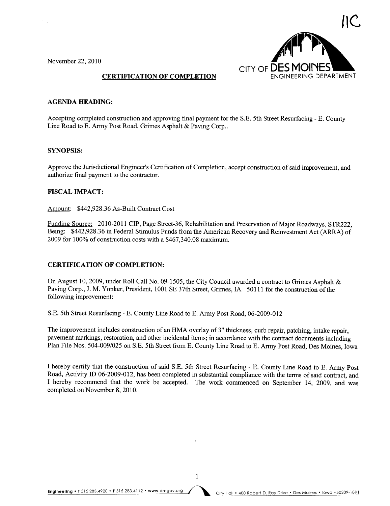November 22,2010

 $\epsilon_{\rm{eff}}$ 



### CERTIFICATION OF COMPLETION

### AGENDA HEADING:

Accepting completed construction and approving final payment for the S.E. 5th Street Resurfacing - E. County Line Road to E. Army Post Road, Grimes Asphalt & Paving Corp..

### SYNOPSIS:

Approve the Jurisdictional Engineer's Certification of Completion, accept construction of said improvement, and authorize final payment to the contractor.

### FISCAL IMPACT:

Amount: \$442,928.36 As-Built Contract Cost

Funding Source: 2010-2011 CIP, Page Street-36, Rehabilitation and Preservation of Major Roadways, STR222, Being: \$442,928.36 in Federal Stimulus Funds from the American Recovery and Reinvestment Act (ARRA) of  $2009$  for  $100\%$  of construction costs with a \$467,340.08 maximum.

### CERTIFICATION OF COMPLETION:

On August 10,2009, under Roll Call No. 09-1505, the City Council awarded a contract to Grimes Asphalt & Paving Corp., J. M. Yonker, President, 1001 SE 37th Street, Grimes, IA 50111 for the construction of the following improvement:

S.E. 5th Street Resurfacing - E. County Line Road to E. Army Post Road, 06-2009-012

The improvement includes construction of an HMA overlay of 3" thickness, curb repair, patching, intake repair, pavement markings, restoration, and other incidental items; in accordance with the contract documents including Plan File Nos. 504-009/025 on S.E. 5th Street from E. County Line Road to E. Army Post Road, Des Moines, Iowa

I hereby certify that the construction of said S.E. 5th Street Resurfacing - E. County Line Road to E. Army Post Road, Activity ID 06-2009-012, has been completed in substantial compliance with the terms of said contract, and I hereby recommend that the work be accepted. The work commenced on September 14, 2009, and was completed on November 8, 2010.

 $\mathbf{1}$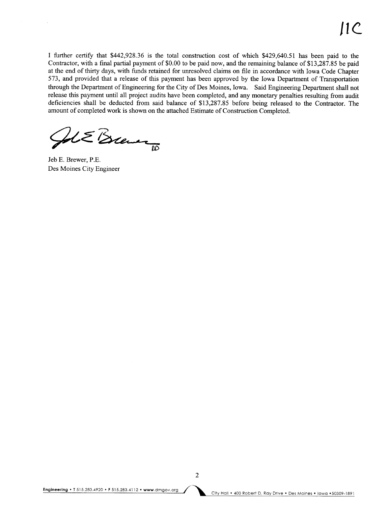I further certify that \$442,928.36 is the total construction cost of which \$429,640.51 has been paid to the Contractor, with a final parial payment of \$0.00 to be paid now, and the remaining balance of \$13,287.85 be paid at the end of thirty days, with funds retained for unresolved claims on file in accordance with Iowa Code Chapter 573, and provided that a release of this payment has been approved by the Iowa Department of Transportation through the Department of Engineering for the City of Des Moines, Iowa. Said Engineering Department shall not release this payment until all project audits have been completed, and any monetary penalties resulting from audit deficiencies shall be deducted from said balance of \$13,287.85 before being released to the Contractor. The amount of completed work is shown on the attached Estimate of Construction Completed.

 $u\in\mathcal{B}$ 

Jeb E. Brewer, P.E. Des Moines City Engineer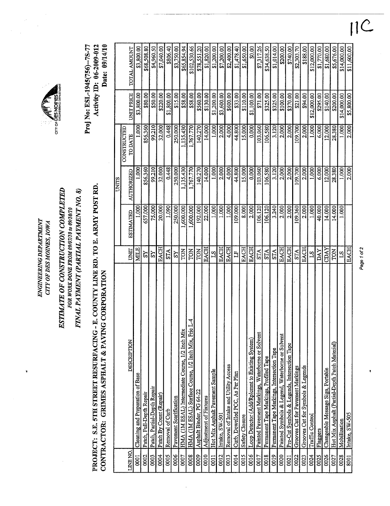| <b>EIME</b><br>į<br>DEP/<br>7<br>ENGINEERING | 10W.<br><b>CITY OF DES MOINE</b> |
|----------------------------------------------|----------------------------------|
|                                              |                                  |

¥

ESTIMATE OF CONSTRUCTION COMPLETED FINAL PAYMENT (PARTIAL PAYMENT NO. 8) FOR WORK DONE FROM 09/07/10 to 09/10/10

# PROJECT: S.E. 5TH STREET RESURFACING - E. COUNTY LINE RD. TO E. ARMY POST RD. CONTRACTOR: GRIMES ASPHALT & PAVING CORPORATION

arv or E

|                |                                                        |                 |                  | UNITS      |                               |                   |              |
|----------------|--------------------------------------------------------|-----------------|------------------|------------|-------------------------------|-------------------|--------------|
| LINE NO.       | DESCRIPTION                                            | UNIT            | <b>ESTIMATED</b> | AUTHORIZED | CONSTRUCTED<br><b>TO DATE</b> | <b>UNIT PRICE</b> | TOTAL AMOUNT |
| $\overline{5}$ | Cleaning and Preparation of Base                       | MILE            | 1.000            | 1.000      | 1.000                         | \$3,800.00        | \$3,800.00   |
| 0002           | Patch, Full-Depth Repair                               | $_{\rm RS}$     | 657.000          | 856.360    | 856.360                       | \$80.00           | \$68,508.80  |
| 0003           | Patch, Partial-Depth Repair                            | ΣŠ              | 75,000           | 99.210     | 99.210                        | \$50.00           | \$4,960.50   |
| 0004           | Patch By Count (Repair)                                | EACH            | 20,000           | 32.000     | 32.000                        | \$220,00          | \$7,040.00   |
| 0005           | Removal of Curb                                        | ŠТА             | 1.090            | 0.448      | 0.448                         | \$1,800.00        | \$806.40     |
| 0006           | Pavement Scarification                                 | Š               | 250,000          | 250,000    | 250.000                       | \$15.00           | \$3,750.00   |
| 0007           | HMA (IM ESAL) Intermediate Course, 1/2 Inch Mix        | <b>TON</b>      | ,600.000         | ,135.430   | 135.430                       | \$58.00           | \$65,854.94  |
| 0008           | 74<br>HMA (IM ESAL) Surface Course, 1/2 Inch Mix, Fric | TON             | ,600.000         | 1,767.770  | 1,767.770                     | \$58.00           | \$102,530.66 |
| 0009           | Asphalt Binder, PG 64-22                               | <b>NOL</b>      | 192.000          | 140.270    | 140.270                       | \$560.00          | \$78,551.20  |
| 0010           | Adjustment of Fixtures                                 | <b>EACH</b>     | 22.000           | 14.000     | 14.000                        | \$130.00          | \$1,820.00   |
| 0011           | Hot Mix Asphalt Pavement Sample                        | $\mathbb{E}$    | 1.000            | 1.000      | 1.000                         | \$1,200.00        | \$1,200.00   |
| 0012           | Intake, SW-501                                         | EACH            | 1.000            | 2.000      | 2.000                         | \$3,600.00        | \$7,200.00   |
| 0013           | Removal of Intake and Utility Access                   | <b>EACH</b>     | 1,000            | 4.000      | 4,000                         | \$600.00          | \$2,400.00   |
| 0014           | Curb, Dowelled PCC, As Per Plan                        | E               | 109.000          | 44,800     | 44.800                        | \$33.00           | \$1,478.40   |
| 0015           | Safety Closure                                         | EACH            | 8.000            | 15,000     | 15.000                        | \$110.00          | \$1,650.00   |
| 0016           | Loop Detector (Add/Rplomnt to Existing System)         | <b>EACH</b>     | 2.000            | 0.000      | 0.000                         | \$1,100.00        | \$0.00       |
| 0017           | Painted Pavement Markings, Waterborne or Solvent       | <b>STA</b>      | 106.120          | 103.060    | 103.060                       | \$71,00           | \$7,317.26   |
| 0018           | Permanent Tape Markings, Profiled Tape                 | <b>STA</b>      | 106,120          | 106,580    | 106.580                       | \$325.00          | \$34,638.50  |
| 0019           | Permanent Tape Markings, Intersection Tape             | STA             | 3.240            | 3.120      | 3,120                         | \$325.00          | \$1,014.00   |
| 0020           | Painted Symbols & Legend, Waterborne or Solvent        | <b>EACH</b>     | 2.000            | 2.000      | 2.000                         | \$100.00          | \$200.00     |
| 0021           | Pre-Cut Symbols & Legends, Intersection Tape           | <b>EACH</b>     | 2.000            | 2.000      | 2.000                         | \$370.00          | \$740.00     |
| 0022           | Grooves Cut for Pavement Markings                      | <b>STA</b>      | 109.360          | 109.700    | 109.700                       | \$21.00           | \$2,303.70   |
| 0023           | Grooves Cut for Symbols & Legends                      | EACH            | 2.000            | 2.000      | 2.0001                        | \$94.00           | \$188.00     |
| 0024           | Traffic Control                                        | 51              | 1.000            | 1.000      | 1.000                         | \$12,000.00       | \$12,000.00  |
| 0025           | Flaggers                                               | DAY             | 40.000           | 6.000      | 6.000                         | \$295.00          | \$1,770.00   |
| 0026           | Changeable Message Sign, Portable                      | CDAY            | 14.000           | 12.000     | 12.000                        | \$140.00          | \$1,680.00   |
| 0027           | Hot Mix Asphalt (Partial-Depth Patch Material)         | <b>TON</b>      | 14.000           | 28.380     | 28.380                        | \$200,00          | \$5,676.00   |
| 0028           | Mobilization                                           | $\overline{51}$ | 1.000            | 1.000      | 1.000                         | \$14,000.00       | \$14,000.00  |
| 8001           | Intake, SW-505                                         | <b>EACH</b>     |                  | 2.000      | 2.000                         | \$5,800.00        | \$11,600.00  |

Page 1 of 2